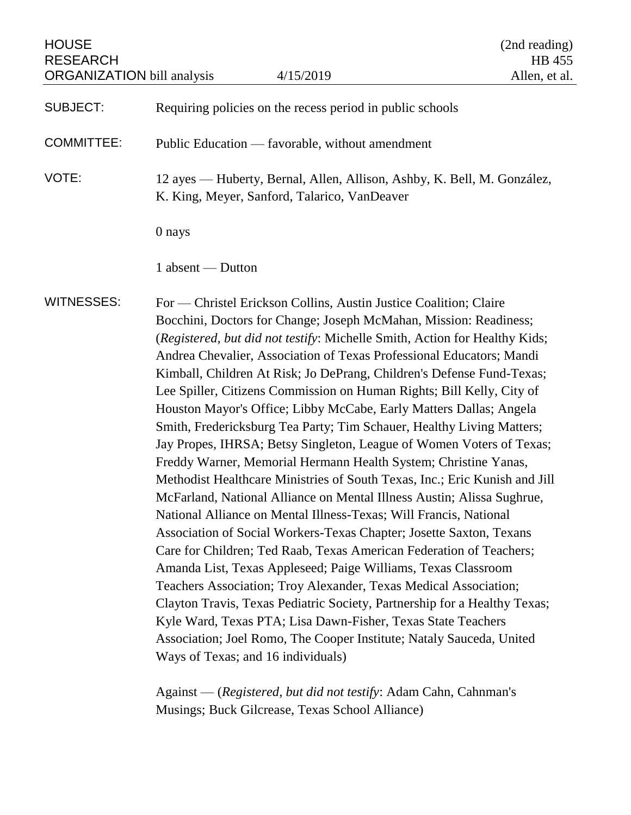| <b>HOUSE</b><br><b>RESEARCH</b><br><b>ORGANIZATION</b> bill analysis |                                              | 4/15/2019                                                                                                                                                                                                                                                                                                                                                                                                                                                                                                                                                                                                                                                                                                                                                                                                                                                                                                                                                                                                                                                                                                                                                                                                                                                                                                                                                                                                                                                                     | (2nd reading)<br><b>HB</b> 455<br>Allen, et al. |
|----------------------------------------------------------------------|----------------------------------------------|-------------------------------------------------------------------------------------------------------------------------------------------------------------------------------------------------------------------------------------------------------------------------------------------------------------------------------------------------------------------------------------------------------------------------------------------------------------------------------------------------------------------------------------------------------------------------------------------------------------------------------------------------------------------------------------------------------------------------------------------------------------------------------------------------------------------------------------------------------------------------------------------------------------------------------------------------------------------------------------------------------------------------------------------------------------------------------------------------------------------------------------------------------------------------------------------------------------------------------------------------------------------------------------------------------------------------------------------------------------------------------------------------------------------------------------------------------------------------------|-------------------------------------------------|
| <b>SUBJECT:</b>                                                      |                                              | Requiring policies on the recess period in public schools                                                                                                                                                                                                                                                                                                                                                                                                                                                                                                                                                                                                                                                                                                                                                                                                                                                                                                                                                                                                                                                                                                                                                                                                                                                                                                                                                                                                                     |                                                 |
| <b>COMMITTEE:</b>                                                    |                                              | Public Education — favorable, without amendment                                                                                                                                                                                                                                                                                                                                                                                                                                                                                                                                                                                                                                                                                                                                                                                                                                                                                                                                                                                                                                                                                                                                                                                                                                                                                                                                                                                                                               |                                                 |
| VOTE:                                                                | K. King, Meyer, Sanford, Talarico, VanDeaver | 12 ayes — Huberty, Bernal, Allen, Allison, Ashby, K. Bell, M. González,                                                                                                                                                                                                                                                                                                                                                                                                                                                                                                                                                                                                                                                                                                                                                                                                                                                                                                                                                                                                                                                                                                                                                                                                                                                                                                                                                                                                       |                                                 |
|                                                                      | 0 nays                                       |                                                                                                                                                                                                                                                                                                                                                                                                                                                                                                                                                                                                                                                                                                                                                                                                                                                                                                                                                                                                                                                                                                                                                                                                                                                                                                                                                                                                                                                                               |                                                 |
|                                                                      | 1 absent — Dutton                            |                                                                                                                                                                                                                                                                                                                                                                                                                                                                                                                                                                                                                                                                                                                                                                                                                                                                                                                                                                                                                                                                                                                                                                                                                                                                                                                                                                                                                                                                               |                                                 |
| <b>WITNESSES:</b>                                                    | Ways of Texas; and 16 individuals)           | For — Christel Erickson Collins, Austin Justice Coalition; Claire<br>Bocchini, Doctors for Change; Joseph McMahan, Mission: Readiness;<br>(Registered, but did not testify: Michelle Smith, Action for Healthy Kids;<br>Andrea Chevalier, Association of Texas Professional Educators; Mandi<br>Kimball, Children At Risk; Jo DePrang, Children's Defense Fund-Texas;<br>Lee Spiller, Citizens Commission on Human Rights; Bill Kelly, City of<br>Houston Mayor's Office; Libby McCabe, Early Matters Dallas; Angela<br>Smith, Fredericksburg Tea Party; Tim Schauer, Healthy Living Matters;<br>Jay Propes, IHRSA; Betsy Singleton, League of Women Voters of Texas;<br>Freddy Warner, Memorial Hermann Health System; Christine Yanas,<br>Methodist Healthcare Ministries of South Texas, Inc.; Eric Kunish and Jill<br>McFarland, National Alliance on Mental Illness Austin; Alissa Sughrue,<br>National Alliance on Mental Illness-Texas; Will Francis, National<br>Association of Social Workers-Texas Chapter; Josette Saxton, Texans<br>Care for Children; Ted Raab, Texas American Federation of Teachers;<br>Amanda List, Texas Appleseed; Paige Williams, Texas Classroom<br>Teachers Association; Troy Alexander, Texas Medical Association;<br>Clayton Travis, Texas Pediatric Society, Partnership for a Healthy Texas;<br>Kyle Ward, Texas PTA; Lisa Dawn-Fisher, Texas State Teachers<br>Association; Joel Romo, The Cooper Institute; Nataly Sauceda, United |                                                 |

Against — (*Registered, but did not testify*: Adam Cahn, Cahnman's Musings; Buck Gilcrease, Texas School Alliance)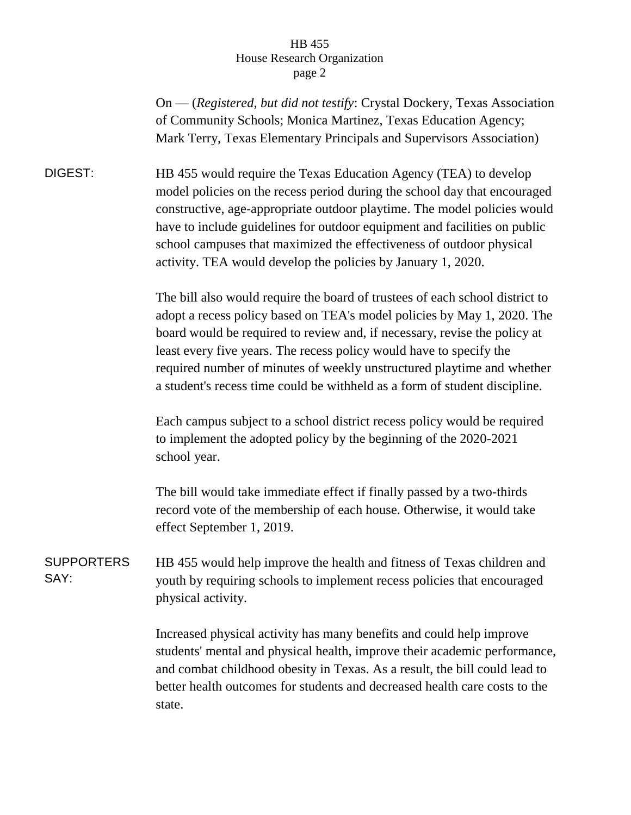## HB 455 House Research Organization page 2

On — (*Registered, but did not testify*: Crystal Dockery, Texas Association of Community Schools; Monica Martinez, Texas Education Agency; Mark Terry, Texas Elementary Principals and Supervisors Association)

DIGEST: HB 455 would require the Texas Education Agency (TEA) to develop model policies on the recess period during the school day that encouraged constructive, age-appropriate outdoor playtime. The model policies would have to include guidelines for outdoor equipment and facilities on public school campuses that maximized the effectiveness of outdoor physical activity. TEA would develop the policies by January 1, 2020.

> The bill also would require the board of trustees of each school district to adopt a recess policy based on TEA's model policies by May 1, 2020. The board would be required to review and, if necessary, revise the policy at least every five years. The recess policy would have to specify the required number of minutes of weekly unstructured playtime and whether a student's recess time could be withheld as a form of student discipline.

Each campus subject to a school district recess policy would be required to implement the adopted policy by the beginning of the 2020-2021 school year.

The bill would take immediate effect if finally passed by a two-thirds record vote of the membership of each house. Otherwise, it would take effect September 1, 2019.

SUPPORTERS SAY: HB 455 would help improve the health and fitness of Texas children and youth by requiring schools to implement recess policies that encouraged physical activity.

> Increased physical activity has many benefits and could help improve students' mental and physical health, improve their academic performance, and combat childhood obesity in Texas. As a result, the bill could lead to better health outcomes for students and decreased health care costs to the state.